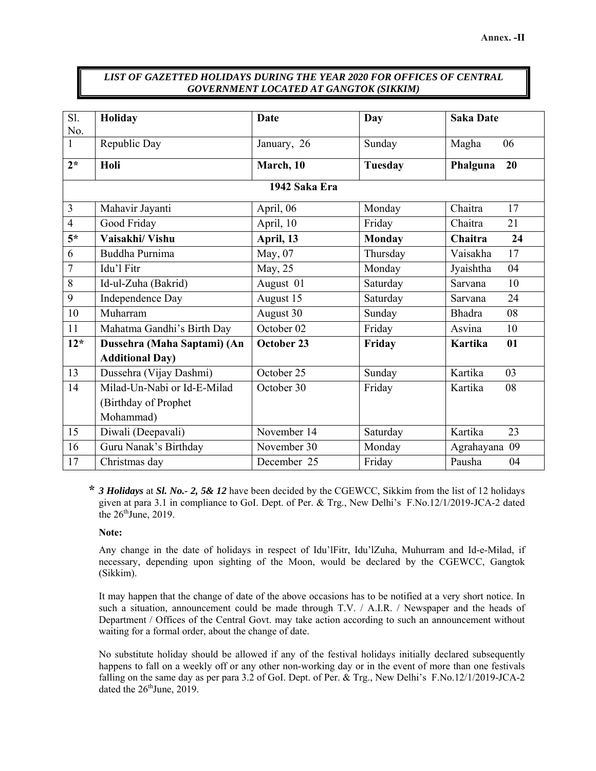## *LIST OF GAZETTED HOLIDAYS DURING THE YEAR 2020 FOR OFFICES OF CENTRAL GOVERNMENT LOCATED AT GANGTOK (SIKKIM)*

| Sl.            | Holiday                     | <b>Date</b> | Day            | <b>Saka Date</b>     |  |  |  |
|----------------|-----------------------------|-------------|----------------|----------------------|--|--|--|
| No.            |                             |             |                |                      |  |  |  |
| $\mathbf{1}$   | Republic Day                | January, 26 | Sunday         | 06<br>Magha          |  |  |  |
| $2*$           | Holi                        | March, 10   | <b>Tuesday</b> | Phalguna<br>20       |  |  |  |
| 1942 Saka Era  |                             |             |                |                      |  |  |  |
| $\overline{3}$ | Mahavir Jayanti             | April, 06   | Monday         | Chaitra<br>17        |  |  |  |
| $\overline{4}$ | Good Friday                 | April, 10   | Friday         | Chaitra<br>21        |  |  |  |
| $5*$           | Vaisakhi/ Vishu             | April, 13   | <b>Monday</b>  | Chaitra<br>24        |  |  |  |
| 6              | Buddha Purnima              | May, 07     | Thursday       | 17<br>Vaisakha       |  |  |  |
| $\overline{7}$ | Idu'l Fitr                  | May, 25     | Monday         | Jyaishtha<br>04      |  |  |  |
| 8              | Id-ul-Zuha (Bakrid)         | August 01   | Saturday       | 10<br>Sarvana        |  |  |  |
| 9              | Independence Day            | August 15   | Saturday       | 24<br>Sarvana        |  |  |  |
| 10             | Muharram                    | August 30   | Sunday         | <b>Bhadra</b><br>08  |  |  |  |
| 11             | Mahatma Gandhi's Birth Day  | October 02  | Friday         | 10<br>Asvina         |  |  |  |
| $12*$          | Dussehra (Maha Saptami) (An | October 23  | Friday         | <b>Kartika</b><br>01 |  |  |  |
|                | <b>Additional Day)</b>      |             |                |                      |  |  |  |
| 13             | Dussehra (Vijay Dashmi)     | October 25  | Sunday         | Kartika<br>03        |  |  |  |
| 14             | Milad-Un-Nabi or Id-E-Milad | October 30  | Friday         | Kartika<br>08        |  |  |  |
|                | (Birthday of Prophet        |             |                |                      |  |  |  |
|                | Mohammad)                   |             |                |                      |  |  |  |
| 15             | Diwali (Deepavali)          | November 14 | Saturday       | Kartika<br>23        |  |  |  |
| 16             | Guru Nanak's Birthday       | November 30 | Monday         | Agrahayana 09        |  |  |  |
| 17             | Christmas day               | December 25 | Friday         | Pausha<br>04         |  |  |  |

 **\*** *3 Holidays* at *Sl. No.- 2, 5& 12* have been decided by the CGEWCC, Sikkim from the list of 12 holidays given at para 3.1 in compliance to GoI. Dept. of Per. & Trg., New Delhi's F.No.12/1/2019-JCA-2 dated the  $26<sup>th</sup>$  June, 2019.

## **Note:**

 Any change in the date of holidays in respect of Idu'lFitr, Idu'lZuha, Muhurram and Id-e-Milad, if necessary, depending upon sighting of the Moon, would be declared by the CGEWCC, Gangtok (Sikkim).

 It may happen that the change of date of the above occasions has to be notified at a very short notice. In such a situation, announcement could be made through T.V. / A.I.R. / Newspaper and the heads of Department / Offices of the Central Govt. may take action according to such an announcement without waiting for a formal order, about the change of date.

No substitute holiday should be allowed if any of the festival holidays initially declared subsequently happens to fall on a weekly off or any other non-working day or in the event of more than one festivals falling on the same day as per para 3.2 of GoI. Dept. of Per. & Trg., New Delhi's F.No.12/1/2019-JCA-2 dated the  $26<sup>th</sup>$ June, 2019.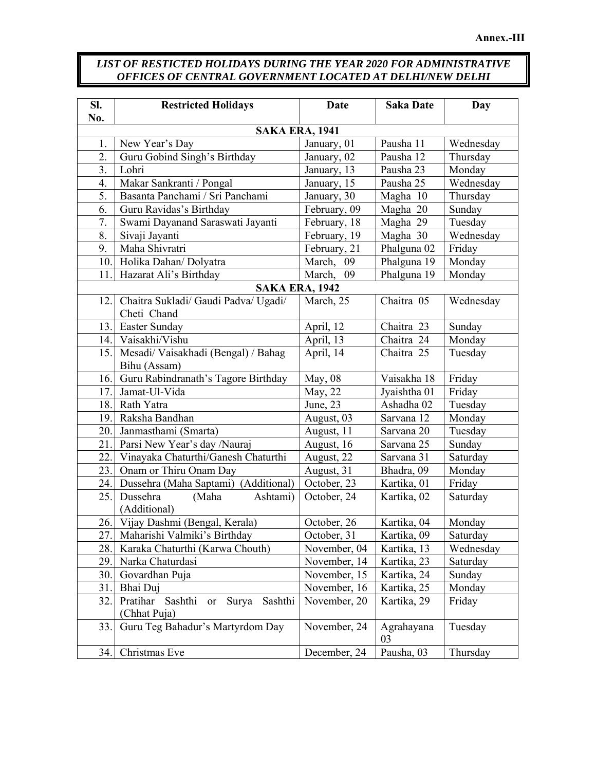## *LIST OF RESTICTED HOLIDAYS DURING THE YEAR 2020 FOR ADMINISTRATIVE OFFICES OF CENTRAL GOVERNMENT LOCATED AT DELHI/NEW DELHI*

| SI.<br>No.            | <b>Restricted Holidays</b>                                           | <b>Date</b>  | <b>Saka Date</b>       | Day       |  |  |  |  |
|-----------------------|----------------------------------------------------------------------|--------------|------------------------|-----------|--|--|--|--|
| <b>SAKA ERA, 1941</b> |                                                                      |              |                        |           |  |  |  |  |
| 1.                    | New Year's Day                                                       | January, 01  | Pausha 11              | Wednesday |  |  |  |  |
| 2.                    | Guru Gobind Singh's Birthday                                         | January, 02  | Pausha 12              | Thursday  |  |  |  |  |
| 3.                    | Lohri                                                                | January, 13  | Pausha 23              | Monday    |  |  |  |  |
| 4.                    | Makar Sankranti / Pongal                                             | January, 15  | Pausha 25              | Wednesday |  |  |  |  |
| 5.                    | Basanta Panchami / Sri Panchami                                      | January, 30  | Magha 10               | Thursday  |  |  |  |  |
| 6.                    | Guru Ravidas's Birthday                                              | February, 09 | Magha 20               | Sunday    |  |  |  |  |
| 7.                    | Swami Dayanand Saraswati Jayanti                                     | February, 18 | Magha 29               | Tuesday   |  |  |  |  |
| 8.                    | Sivaji Jayanti                                                       | February, 19 | Magha 30               | Wednesday |  |  |  |  |
| 9.                    | Maha Shivratri                                                       | February, 21 | Phalguna <sub>02</sub> | Friday    |  |  |  |  |
| 10.                   | Holika Dahan/ Dolyatra                                               | March, 09    | Phalguna 19            | Monday    |  |  |  |  |
| 11.                   | Hazarat Ali's Birthday                                               | March, 09    | Phalguna 19            | Monday    |  |  |  |  |
|                       | <b>SAKA ERA, 1942</b>                                                |              |                        |           |  |  |  |  |
| 12.                   | Chaitra Sukladi/ Gaudi Padva/ Ugadi/                                 | March, 25    | Chaitra 05             | Wednesday |  |  |  |  |
|                       | Cheti Chand                                                          |              |                        |           |  |  |  |  |
| 13.                   | Easter Sunday                                                        | April, 12    | Chaitra 23             | Sunday    |  |  |  |  |
|                       | 14. Vaisakhi/Vishu                                                   | April, 13    | Chaitra 24             | Monday    |  |  |  |  |
| 15.                   | Mesadi/ Vaisakhadi (Bengal) / Bahag<br>Bihu (Assam)                  | April, 14    | Chaitra 25             | Tuesday   |  |  |  |  |
| 16.                   | Guru Rabindranath's Tagore Birthday                                  | May, 08      | Vaisakha 18            | Friday    |  |  |  |  |
| 17.                   | Jamat-Ul-Vida                                                        | May, 22      | Jyaishtha 01           | Friday    |  |  |  |  |
| 18.                   | Rath Yatra                                                           | June, 23     | Ashadha 02             | Tuesday   |  |  |  |  |
| 19.                   | Raksha Bandhan                                                       | August, 03   | Sarvana 12             | Monday    |  |  |  |  |
| 20.                   | Janmasthami (Smarta)                                                 | August, 11   | Sarvana 20             | Tuesday   |  |  |  |  |
| 21.                   | Parsi New Year's day /Nauraj                                         | August, 16   | Sarvana 25             | Sunday    |  |  |  |  |
| 22.                   | Vinayaka Chaturthi/Ganesh Chaturthi                                  | August, 22   | Sarvana 31             | Saturday  |  |  |  |  |
| 23.                   | Onam or Thiru Onam Day                                               | August, 31   | Bhadra, 09             | Monday    |  |  |  |  |
| 24.                   | Dussehra (Maha Saptami) (Additional)                                 | October, 23  | Kartika, 01            | Friday    |  |  |  |  |
| 25.                   | Dussehra<br>(Maha<br>Ashtami)<br>(Additional)                        | October, 24  | Kartika, 02            | Saturday  |  |  |  |  |
|                       | 26. Vijay Dashmi (Bengal, Kerala)                                    | October, 26  | Kartika, 04            | Monday    |  |  |  |  |
| 27.                   | Maharishi Valmiki's Birthday                                         | October, 31  | Kartika, 09            | Saturday  |  |  |  |  |
| 28.                   | Karaka Chaturthi (Karwa Chouth)                                      | November, 04 | Kartika, 13            | Wednesday |  |  |  |  |
| 29.                   | Narka Chaturdasi                                                     | November, 14 | Kartika, 23            | Saturday  |  |  |  |  |
| 30.                   | Govardhan Puja                                                       | November, 15 | Kartika, 24            | Sunday    |  |  |  |  |
| 31.                   | Bhai Duj                                                             | November, 16 | Kartika, 25            | Monday    |  |  |  |  |
| 32.                   | Sashthi<br>Pratihar<br>Sashthi<br>Surya<br><b>or</b><br>(Chhat Puja) | November, 20 | Kartika, 29            | Friday    |  |  |  |  |
| 33.                   | Guru Teg Bahadur's Martyrdom Day                                     | November, 24 | Agrahayana<br>03       | Tuesday   |  |  |  |  |
| 34.                   | Christmas Eve                                                        | December, 24 | Pausha, 03             | Thursday  |  |  |  |  |